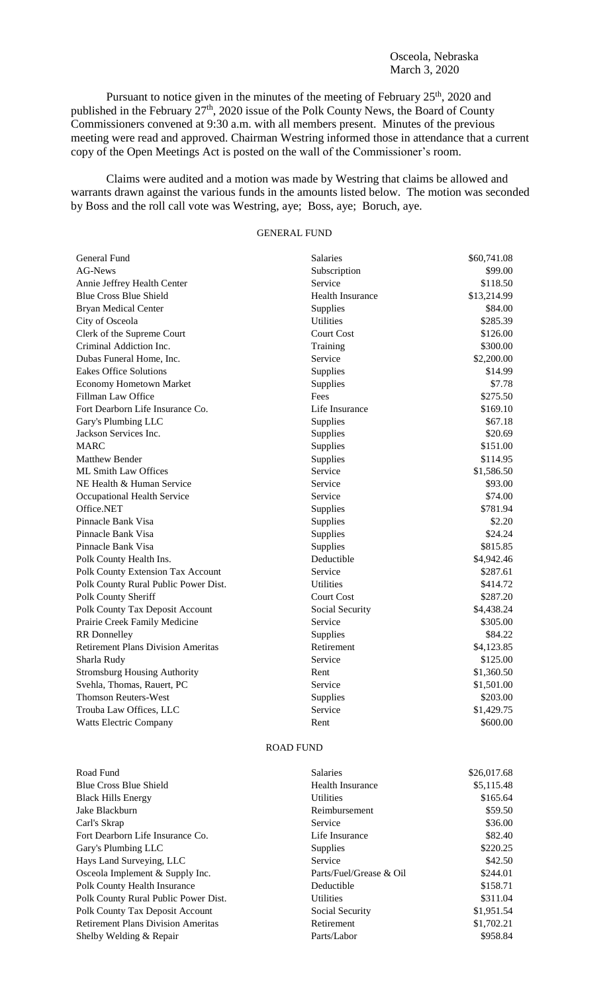Osceola, Nebraska March 3, 2020

Pursuant to notice given in the minutes of the meeting of February  $25<sup>th</sup>$ , 2020 and published in the February 27<sup>th</sup>, 2020 issue of the Polk County News, the Board of County Commissioners convened at 9:30 a.m. with all members present. Minutes of the previous meeting were read and approved. Chairman Westring informed those in attendance that a current copy of the Open Meetings Act is posted on the wall of the Commissioner's room.

Claims were audited and a motion was made by Westring that claims be allowed and warrants drawn against the various funds in the amounts listed below. The motion was seconded by Boss and the roll call vote was Westring, aye; Boss, aye; Boruch, aye.

## GENERAL FUND

| General Fund                              | <b>Salaries</b>         | \$60,741.08 |
|-------------------------------------------|-------------------------|-------------|
| <b>AG-News</b>                            | Subscription            | \$99.00     |
| Annie Jeffrey Health Center               | Service                 | \$118.50    |
| <b>Blue Cross Blue Shield</b>             | <b>Health Insurance</b> | \$13,214.99 |
| <b>Bryan Medical Center</b>               | Supplies                | \$84.00     |
| City of Osceola                           | <b>Utilities</b>        | \$285.39    |
| Clerk of the Supreme Court                | <b>Court Cost</b>       | \$126.00    |
| Criminal Addiction Inc.                   | Training                | \$300.00    |
| Dubas Funeral Home, Inc.                  | Service                 | \$2,200.00  |
| <b>Eakes Office Solutions</b>             | Supplies                | \$14.99     |
| <b>Economy Hometown Market</b>            | Supplies                | \$7.78      |
| Fillman Law Office                        | Fees                    | \$275.50    |
| Fort Dearborn Life Insurance Co.          | Life Insurance          | \$169.10    |
| Gary's Plumbing LLC                       | Supplies                | \$67.18     |
| Jackson Services Inc.                     | Supplies                | \$20.69     |
| <b>MARC</b>                               | Supplies                | \$151.00    |
| Matthew Bender                            | Supplies                | \$114.95    |
| <b>ML Smith Law Offices</b>               | Service                 | \$1,586.50  |
| NE Health & Human Service                 | Service                 | \$93.00     |
| Occupational Health Service               | Service                 | \$74.00     |
| Office.NET                                | Supplies                | \$781.94    |
| Pinnacle Bank Visa                        | Supplies                | \$2.20      |
| Pinnacle Bank Visa                        | Supplies                | \$24.24     |
| Pinnacle Bank Visa                        | Supplies                | \$815.85    |
| Polk County Health Ins.                   | Deductible              | \$4,942.46  |
| <b>Polk County Extension Tax Account</b>  | Service                 | \$287.61    |
| Polk County Rural Public Power Dist.      | <b>Utilities</b>        | \$414.72    |
| Polk County Sheriff                       | <b>Court Cost</b>       | \$287.20    |
| <b>Polk County Tax Deposit Account</b>    | Social Security         | \$4,438.24  |
| Prairie Creek Family Medicine             | Service                 | \$305.00    |
| <b>RR</b> Donnelley                       | Supplies                | \$84.22     |
| <b>Retirement Plans Division Ameritas</b> | Retirement              | \$4,123.85  |
| Sharla Rudy                               | Service                 | \$125.00    |
| <b>Stromsburg Housing Authority</b>       | Rent                    | \$1,360.50  |
| Svehla, Thomas, Rauert, PC                | Service                 | \$1,501.00  |
| <b>Thomson Reuters-West</b>               | Supplies                | \$203.00    |
| Trouba Law Offices, LLC                   | Service                 | \$1,429.75  |
| <b>Watts Electric Company</b>             | Rent                    | \$600.00    |

## ROAD FUND

| Road Fund                                 | <b>Salaries</b>         | \$26,017.68 |
|-------------------------------------------|-------------------------|-------------|
| <b>Blue Cross Blue Shield</b>             | <b>Health Insurance</b> | \$5,115.48  |
| <b>Black Hills Energy</b>                 | <b>Utilities</b>        | \$165.64    |
| Jake Blackburn                            | Reimbursement           | \$59.50     |
| Carl's Skrap                              | Service                 | \$36.00     |
| Fort Dearborn Life Insurance Co.          | Life Insurance          | \$82.40     |
| Gary's Plumbing LLC                       | <b>Supplies</b>         | \$220.25    |
| Hays Land Surveying, LLC                  | Service                 | \$42.50     |
| Osceola Implement & Supply Inc.           | Parts/Fuel/Grease & Oil | \$244.01    |
| <b>Polk County Health Insurance</b>       | Deductible              | \$158.71    |
| Polk County Rural Public Power Dist.      | <b>Utilities</b>        | \$311.04    |
| Polk County Tax Deposit Account           | Social Security         | \$1,951.54  |
| <b>Retirement Plans Division Ameritas</b> | Retirement              | \$1,702.21  |
| Shelby Welding & Repair                   | Parts/Labor             | \$958.84    |
|                                           |                         |             |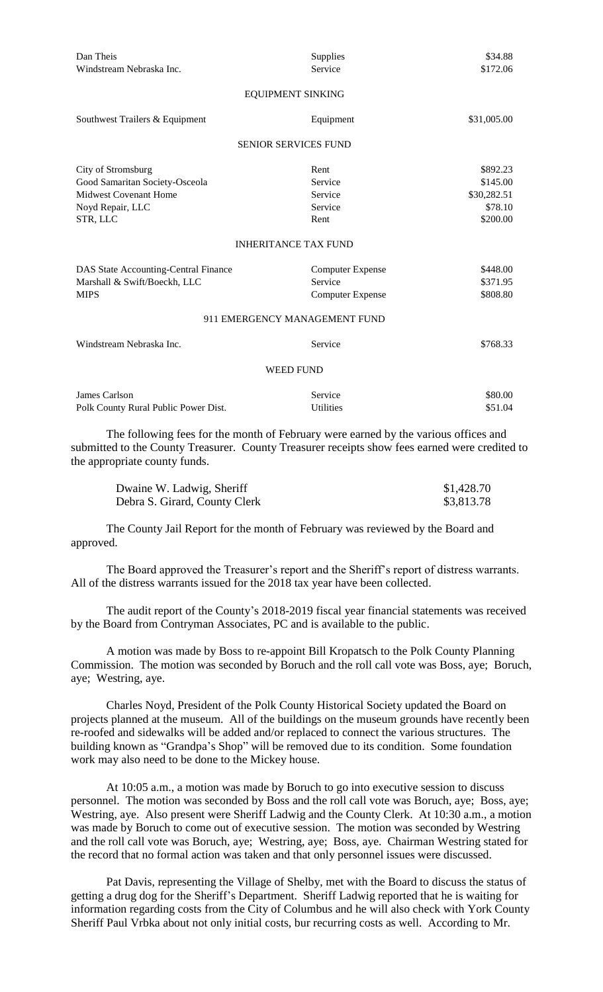| Dan Theis                            | Supplies                      | \$34.88     |
|--------------------------------------|-------------------------------|-------------|
| Windstream Nebraska Inc.             | Service                       | \$172.06    |
|                                      |                               |             |
|                                      | <b>EQUIPMENT SINKING</b>      |             |
| Southwest Trailers & Equipment       | Equipment                     | \$31,005.00 |
|                                      | <b>SENIOR SERVICES FUND</b>   |             |
| City of Stromsburg                   | Rent                          | \$892.23    |
| Good Samaritan Society-Osceola       | Service                       | \$145.00    |
| <b>Midwest Covenant Home</b>         | Service                       | \$30,282.51 |
| Noyd Repair, LLC                     | Service                       | \$78.10     |
| STR, LLC                             | Rent                          | \$200.00    |
|                                      | <b>INHERITANCE TAX FUND</b>   |             |
| DAS State Accounting-Central Finance | <b>Computer Expense</b>       | \$448.00    |
| Marshall & Swift/Boeckh, LLC         | Service                       | \$371.95    |
| <b>MIPS</b>                          | <b>Computer Expense</b>       | \$808.80    |
|                                      | 911 EMERGENCY MANAGEMENT FUND |             |
| Windstream Nebraska Inc.             | Service                       | \$768.33    |
|                                      | <b>WEED FUND</b>              |             |
| James Carlson                        | Service                       | \$80.00     |
| Polk County Rural Public Power Dist. | Utilities                     | \$51.04     |

The following fees for the month of February were earned by the various offices and submitted to the County Treasurer. County Treasurer receipts show fees earned were credited to the appropriate county funds.

| Dwaine W. Ladwig, Sheriff     | \$1,428.70 |
|-------------------------------|------------|
| Debra S. Girard, County Clerk | \$3,813.78 |

The County Jail Report for the month of February was reviewed by the Board and approved.

The Board approved the Treasurer's report and the Sheriff's report of distress warrants. All of the distress warrants issued for the 2018 tax year have been collected.

The audit report of the County's 2018-2019 fiscal year financial statements was received by the Board from Contryman Associates, PC and is available to the public.

A motion was made by Boss to re-appoint Bill Kropatsch to the Polk County Planning Commission. The motion was seconded by Boruch and the roll call vote was Boss, aye; Boruch, aye; Westring, aye.

Charles Noyd, President of the Polk County Historical Society updated the Board on projects planned at the museum. All of the buildings on the museum grounds have recently been re-roofed and sidewalks will be added and/or replaced to connect the various structures. The building known as "Grandpa's Shop" will be removed due to its condition. Some foundation work may also need to be done to the Mickey house.

At 10:05 a.m., a motion was made by Boruch to go into executive session to discuss personnel. The motion was seconded by Boss and the roll call vote was Boruch, aye; Boss, aye; Westring, aye. Also present were Sheriff Ladwig and the County Clerk. At 10:30 a.m., a motion was made by Boruch to come out of executive session. The motion was seconded by Westring and the roll call vote was Boruch, aye; Westring, aye; Boss, aye. Chairman Westring stated for the record that no formal action was taken and that only personnel issues were discussed.

Pat Davis, representing the Village of Shelby, met with the Board to discuss the status of getting a drug dog for the Sheriff's Department. Sheriff Ladwig reported that he is waiting for information regarding costs from the City of Columbus and he will also check with York County Sheriff Paul Vrbka about not only initial costs, bur recurring costs as well. According to Mr.